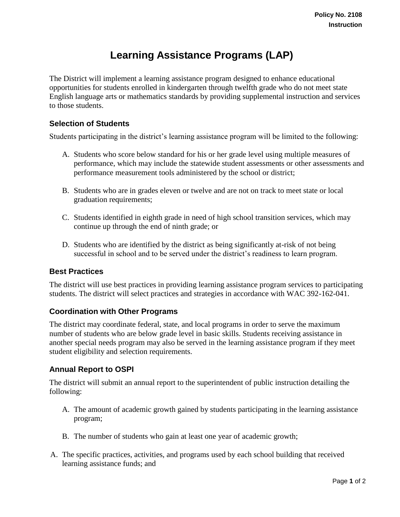# **Learning Assistance Programs (LAP)**

The District will implement a learning assistance program designed to enhance educational opportunities for students enrolled in kindergarten through twelfth grade who do not meet state English language arts or mathematics standards by providing supplemental instruction and services to those students.

## **Selection of Students**

Students participating in the district's learning assistance program will be limited to the following:

- A. Students who score below standard for his or her grade level using multiple measures of performance, which may include the statewide student assessments or other assessments and performance measurement tools administered by the school or district;
- B. Students who are in grades eleven or twelve and are not on track to meet state or local graduation requirements;
- C. Students identified in eighth grade in need of high school transition services, which may continue up through the end of ninth grade; or
- D. Students who are identified by the district as being significantly at-risk of not being successful in school and to be served under the district's readiness to learn program.

### **Best Practices**

The district will use best practices in providing learning assistance program services to participating students. The district will select practices and strategies in accordance with WAC 392-162-041.

### **Coordination with Other Programs**

The district may coordinate federal, state, and local programs in order to serve the maximum number of students who are below grade level in basic skills. Students receiving assistance in another special needs program may also be served in the learning assistance program if they meet student eligibility and selection requirements.

### **Annual Report to OSPI**

The district will submit an annual report to the superintendent of public instruction detailing the following:

- A. The amount of academic growth gained by students participating in the learning assistance program;
- B. The number of students who gain at least one year of academic growth;
- A. The specific practices, activities, and programs used by each school building that received learning assistance funds; and